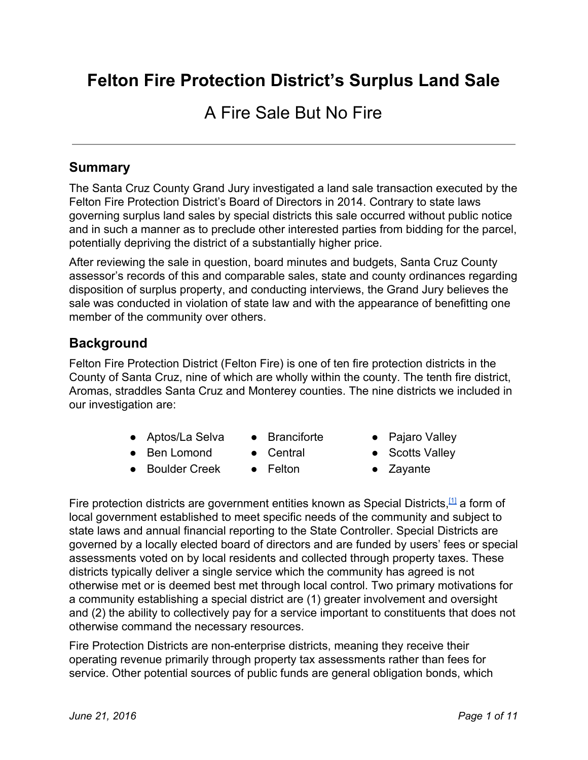# **Felton Fire Protection District's Surplus Land Sale**

# A Fire Sale But No Fire

## **Summary**

The Santa Cruz County Grand Jury investigated a land sale transaction executed by the Felton Fire Protection District's Board of Directors in 2014. Contrary to state laws governing surplus land sales by special districts this sale occurred without public notice and in such a manner as to preclude other interested parties from bidding for the parcel, potentially depriving the district of a substantially higher price.

After reviewing the sale in question, board minutes and budgets, Santa Cruz County assessor's records of this and comparable sales, state and county ordinances regarding disposition of surplus property, and conducting interviews, the Grand Jury believes the sale was conducted in violation of state law and with the appearance of benefitting one member of the community over others.

## **Background**

Felton Fire Protection District (Felton Fire) is one of ten fire protection districts in the County of Santa Cruz, nine of which are wholly within the county. The tenth fire district, Aromas, straddles Santa Cruz and Monterey counties. The nine districts we included in our investigation are:

- Aptos/La Selva
- Branciforte
- Ben Lomond
	- Central ● Felton
- **Boulder Creek**
- Pajaro Valley
- Scotts Valley
- Zayante

Fire protection districts are government entities known as Special Districts,<sup>[\[1\]](http://www.csda.net/special-districts/)</sup> a form of local government established to meet specific needs of the community and subject to state laws and annual financial reporting to the State Controller. Special Districts are governed by a locally elected board of directors and are funded by users' fees or special assessments voted on by local residents and collected through property taxes. These districts typically deliver a single service which the community has agreed is not otherwise met or is deemed best met through local control. Two primary motivations for a community establishing a special district are (1) greater involvement and oversight and (2) the ability to collectively pay for a service important to constituents that does not otherwise command the necessary resources.

Fire Protection Districts are non-enterprise districts, meaning they receive their operating revenue primarily through property tax assessments rather than fees for service. Other potential sources of public funds are general obligation bonds, which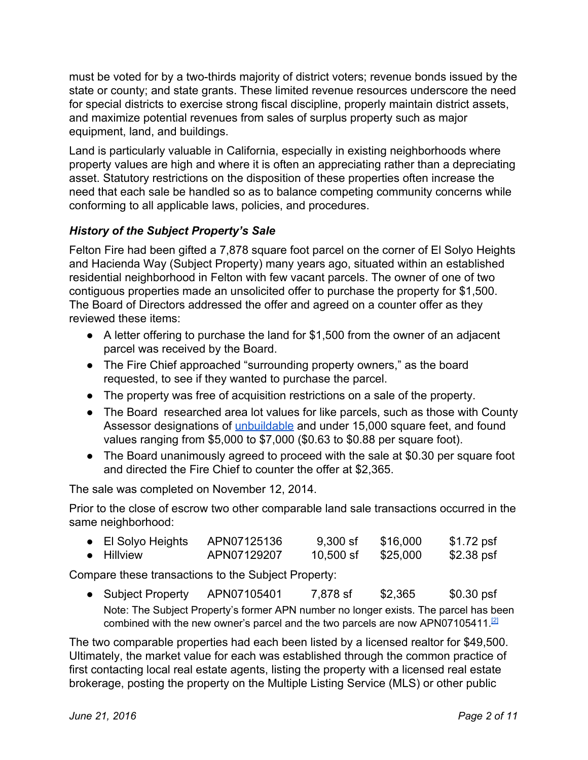must be voted for by a two-thirds majority of district voters; revenue bonds issued by the state or county; and state grants. These limited revenue resources underscore the need for special districts to exercise strong fiscal discipline, properly maintain district assets, and maximize potential revenues from sales of surplus property such as major equipment, land, and buildings.

Land is particularly valuable in California, especially in existing neighborhoods where property values are high and where it is often an appreciating rather than a depreciating asset. Statutory restrictions on the disposition of these properties often increase the need that each sale be handled so as to balance competing community concerns while conforming to all applicable laws, policies, and procedures.

#### *History of the Subject Property's Sale*

Felton Fire had been gifted a 7,878 square foot parcel on the corner of El Solyo Heights and Hacienda Way (Subject Property) many years ago, situated within an established residential neighborhood in Felton with few vacant parcels. The owner of one of two contiguous properties made an unsolicited offer to purchase the property for \$1,500. The Board of Directors addressed the offer and agreed on a counter offer as they reviewed these items:

- A letter offering to purchase the land for \$1,500 from the owner of an adjacent parcel was received by the Board.
- The Fire Chief approached "surrounding property owners," as the board requested, to see if they wanted to purchase the parcel.
- The property was free of acquisition restrictions on a sale of the property.
- The Board researched area lot values for like parcels, such as those with County Assessor designations of [unbuildable](#page-9-0) and under 15,000 square feet, and found values ranging from \$5,000 to \$7,000 (\$0.63 to \$0.88 per square foot).
- The Board unanimously agreed to proceed with the sale at \$0.30 per square foot and directed the Fire Chief to counter the offer at \$2,365.

The sale was completed on November 12, 2014.

Prior to the close of escrow two other comparable land sale transactions occurred in the same neighborhood:

| $\bullet$ El Solyo Heights | APN07125136 | $9,300$ sf  | \$16,000 | \$1.72 psf |
|----------------------------|-------------|-------------|----------|------------|
| • Hillview                 | APN07129207 | $10,500$ sf | \$25,000 | \$2.38 psf |

Compare these transactions to the Subject Property:

● Subject Property APN07105401 7,878 sf \$2,365 \$0.30 psf Note: The Subject Property's former APN number no longer exists. The parcel has been combined with the new owner's parcel and the two parcels are now APN07105411.<sup>[\[2\]](http://sccounty01.co.santa-cruz.ca.us/ASR/)</sup>

The two comparable properties had each been listed by a licensed realtor for \$49,500. Ultimately, the market value for each was established through the common practice of first contacting local real estate agents, listing the property with a licensed real estate brokerage, posting the property on the Multiple Listing Service (MLS) or other public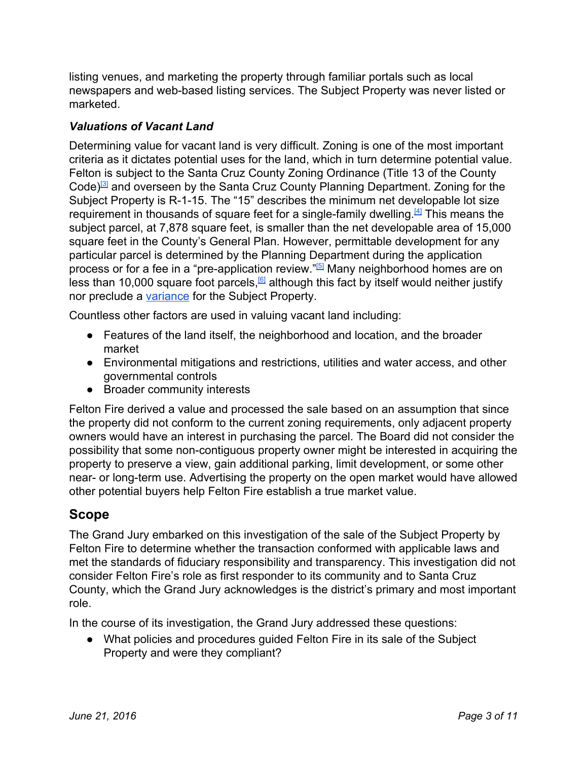listing venues, and marketing the property through familiar portals such as local newspapers and web-based listing services. The Subject Property was never listed or marketed.

#### *Valuations of Vacant Land*

Determining value for vacant land is very difficult. Zoning is one of the most important criteria as it dictates potential uses for the land, which in turn determine potential value. Felton is subject to the Santa Cruz County Zoning Ordinance (Title 13 of the County Code)<sup>[\[3\]](http://www.codepublishing.com/CA/SantaCruzCounty/html/SantaCruzCounty13/SantaCruzCounty13.html)</sup> and overseen by the Santa Cruz County Planning Department. Zoning for the Subject Property is R-1-15. The "15" describes the minimum net developable lot size requirement in thousands of square feet for a single-family dwelling.<sup>[\[4\]](http://www.codepublishing.com/CA/SantaCruzCounty/?SantaCruzCounty13/SantaCruzCounty1310.html#13.10.323)</sup> This means the subject parcel, at 7,878 square feet, is smaller than the net developable area of 15,000 square feet in the County's General Plan. However, permittable development for any particular parcel is determined by the Planning Department during the application process or for a fee in a "pre-application review."<sup>[\[5\]](http://www.sccoplanning.com/Portals/2/County/Planning/zoning/Preapplication_trifold.pdf)</sup> Many neighborhood homes are on less than 10,000 square foot parcels,<sup>6</sup> although this fact by itself would neither justify nor preclude a [variance](#page-9-1) for the Subject Property.

Countless other factors are used in valuing vacant land including:

- Features of the land itself, the neighborhood and location, and the broader market
- Environmental mitigations and restrictions, utilities and water access, and other governmental controls
- Broader community interests

Felton Fire derived a value and processed the sale based on an assumption that since the property did not conform to the current zoning requirements, only adjacent property owners would have an interest in purchasing the parcel. The Board did not consider the possibility that some non-contiguous property owner might be interested in acquiring the property to preserve a view, gain additional parking, limit development, or some other near- or long-term use. Advertising the property on the open market would have allowed other potential buyers help Felton Fire establish a true market value.

## **Scope**

The Grand Jury embarked on this investigation of the sale of the Subject Property by Felton Fire to determine whether the transaction conformed with applicable laws and met the standards of fiduciary responsibility and transparency. This investigation did not consider Felton Fire's role as first responder to its community and to Santa Cruz County, which the Grand Jury acknowledges is the district's primary and most important role.

In the course of its investigation, the Grand Jury addressed these questions:

● What policies and procedures guided Felton Fire in its sale of the Subject Property and were they compliant?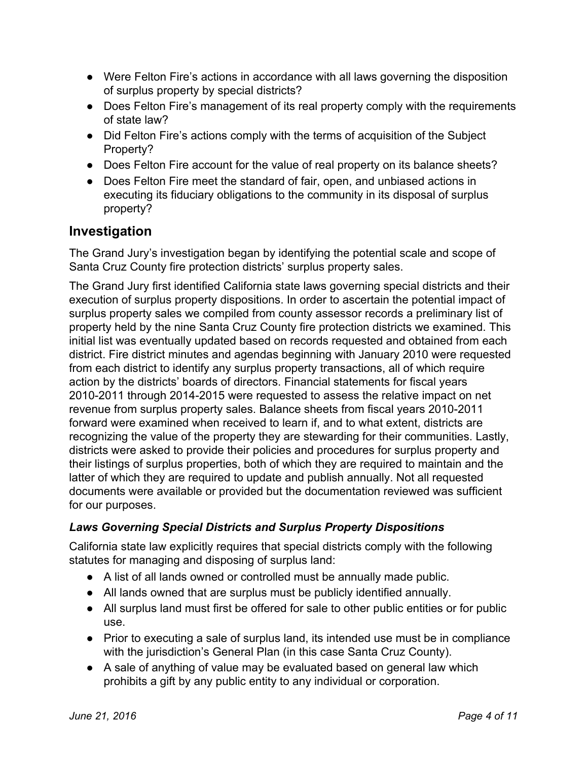- Were Felton Fire's actions in accordance with all laws governing the disposition of surplus property by special districts?
- Does Felton Fire's management of its real property comply with the requirements of state law?
- Did Felton Fire's actions comply with the terms of acquisition of the Subject Property?
- Does Felton Fire account for the value of real property on its balance sheets?
- Does Felton Fire meet the standard of fair, open, and unbiased actions in executing its fiduciary obligations to the community in its disposal of surplus property?

# **Investigation**

The Grand Jury's investigation began by identifying the potential scale and scope of Santa Cruz County fire protection districts' surplus property sales.

The Grand Jury first identified California state laws governing special districts and their execution of surplus property dispositions. In order to ascertain the potential impact of surplus property sales we compiled from county assessor records a preliminary list of property held by the nine Santa Cruz County fire protection districts we examined. This initial list was eventually updated based on records requested and obtained from each district. Fire district minutes and agendas beginning with January 2010 were requested from each district to identify any surplus property transactions, all of which require action by the districts' boards of directors. Financial statements for fiscal years 2010-2011 through 2014-2015 were requested to assess the relative impact on net revenue from surplus property sales. Balance sheets from fiscal years 2010-2011 forward were examined when received to learn if, and to what extent, districts are recognizing the value of the property they are stewarding for their communities. Lastly, districts were asked to provide their policies and procedures for surplus property and their listings of surplus properties, both of which they are required to maintain and the latter of which they are required to update and publish annually. Not all requested documents were available or provided but the documentation reviewed was sufficient for our purposes.

## *Laws Governing Special Districts and Surplus Property Dispositions*

California state law explicitly requires that special districts comply with the following statutes for managing and disposing of surplus land:

- A list of all lands owned or controlled must be annually made public.
- All lands owned that are surplus must be publicly identified annually.
- All surplus land must first be offered for sale to other public entities or for public use.
- Prior to executing a sale of surplus land, its intended use must be in compliance with the jurisdiction's General Plan (in this case Santa Cruz County).
- A sale of anything of value may be evaluated based on general law which prohibits a gift by any public entity to any individual or corporation.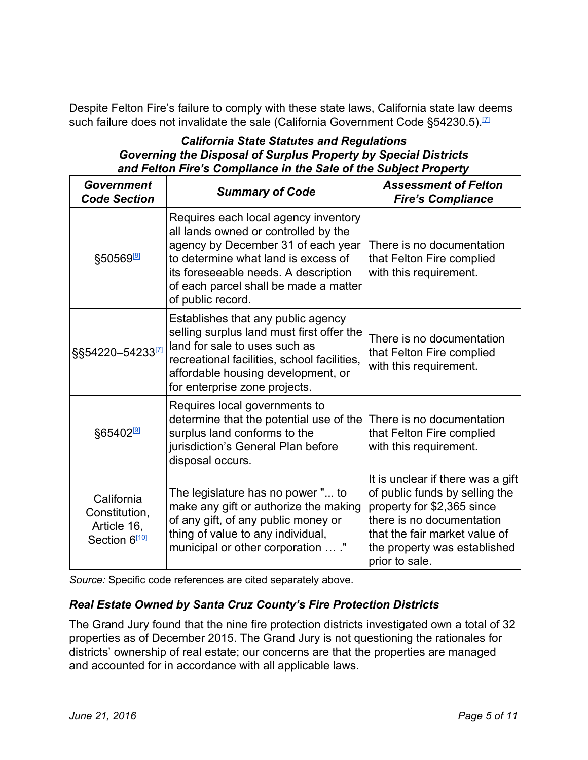Despite Felton Fire's failure to comply with these state laws, California state law deems such failure does not invalidate the sale (California Government Code §54230.5).<sup>[\[7\]](http://leginfo.legislature.ca.gov/faces/codes_displaySection.xhtml?sectionNum=54230.5.&lawCode=GOV)</sup>

#### *California State Statutes and Regulations Governing the Disposal of Surplus Property by Special Districts and Felton Fire's Compliance in the Sale of the Subject Property*

| Government<br><b>Code Section</b>                                       | <b>Summary of Code</b>                                                                                                                                                                                                                                          | <b>Assessment of Felton</b><br><b>Fire's Compliance</b>                                                                                                                                                           |  |
|-------------------------------------------------------------------------|-----------------------------------------------------------------------------------------------------------------------------------------------------------------------------------------------------------------------------------------------------------------|-------------------------------------------------------------------------------------------------------------------------------------------------------------------------------------------------------------------|--|
| §50569 <sup>8</sup>                                                     | Requires each local agency inventory<br>all lands owned or controlled by the<br>agency by December 31 of each year<br>to determine what land is excess of<br>its foreseeable needs. A description<br>of each parcel shall be made a matter<br>of public record. | There is no documentation<br>that Felton Fire complied<br>with this requirement.                                                                                                                                  |  |
| §§54220-54233 <sup>[7]</sup>                                            | Establishes that any public agency<br>selling surplus land must first offer the<br>land for sale to uses such as<br>recreational facilities, school facilities,<br>affordable housing development, or<br>for enterprise zone projects.                          | There is no documentation<br>that Felton Fire complied<br>with this requirement.                                                                                                                                  |  |
| §65402 <sup>[9]</sup>                                                   | Requires local governments to<br>determine that the potential use of the<br>surplus land conforms to the<br>jurisdiction's General Plan before<br>disposal occurs.                                                                                              | There is no documentation<br>that Felton Fire complied<br>with this requirement.                                                                                                                                  |  |
| California<br>Constitution,<br>Article 16,<br>Section 6 <sup>[10]</sup> | The legislature has no power " to<br>make any gift or authorize the making<br>of any gift, of any public money or<br>thing of value to any individual,<br>municipal or other corporation  ."                                                                    | It is unclear if there was a gift<br>of public funds by selling the<br>property for \$2,365 since<br>there is no documentation<br>that the fair market value of<br>the property was established<br>prior to sale. |  |

*Source:* Specific code references are cited separately above.

#### *Real Estate Owned by Santa Cruz County's Fire Protection Districts*

The Grand Jury found that the nine fire protection districts investigated own a total of 32 properties as of December 2015. The Grand Jury is not questioning the rationales for districts' ownership of real estate; our concerns are that the properties are managed and accounted for in accordance with all applicable laws.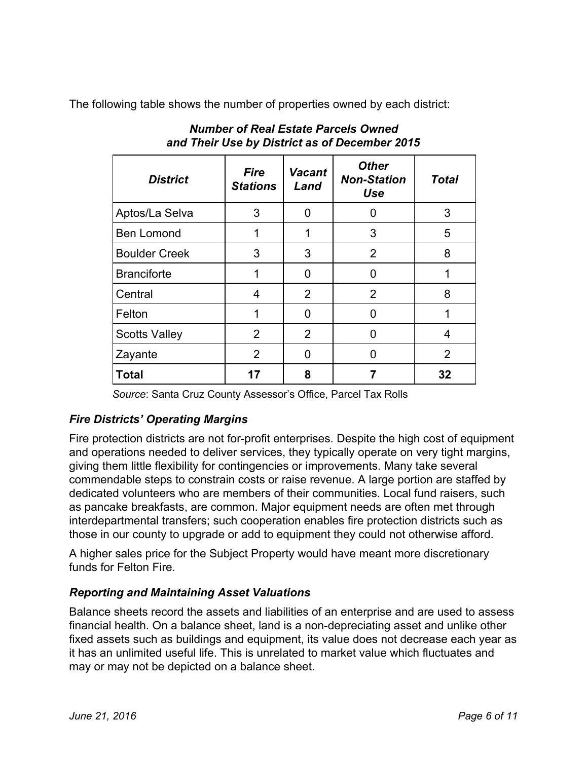The following table shows the number of properties owned by each district:

| <b>District</b>      | <b>Fire</b><br><b>Stations</b> | <b>Vacant</b><br>Land | <b>Other</b><br><b>Non-Station</b><br>Use | <b>Total</b> |
|----------------------|--------------------------------|-----------------------|-------------------------------------------|--------------|
| Aptos/La Selva       | 3                              | 0                     | ŋ                                         | 3            |
| <b>Ben Lomond</b>    | 1                              | 1                     | 3                                         | 5            |
| <b>Boulder Creek</b> | 3                              | 3                     | $\overline{2}$                            | 8            |
| <b>Branciforte</b>   | 1                              | O                     | O                                         |              |
| Central              | 4                              | $\overline{2}$        | $\overline{2}$                            | 8            |
| Felton               | 1                              | O                     | O                                         |              |
| <b>Scotts Valley</b> | $\overline{2}$                 | $\overline{2}$        | 0                                         | 4            |
| Zayante              | 2                              | O                     | n                                         | 2            |
| <b>Total</b>         | 17                             | 8                     |                                           | 32           |

## *Number of Real Estate Parcels Owned and Their Use by District as of December 2015*

*Source*: Santa Cruz County Assessor's Office, Parcel Tax Rolls

## *Fire Districts' Operating Margins*

Fire protection districts are not for-profit enterprises. Despite the high cost of equipment and operations needed to deliver services, they typically operate on very tight margins, giving them little flexibility for contingencies or improvements. Many take several commendable steps to constrain costs or raise revenue. A large portion are staffed by dedicated volunteers who are members of their communities. Local fund raisers, such as pancake breakfasts, are common. Major equipment needs are often met through interdepartmental transfers; such cooperation enables fire protection districts such as those in our county to upgrade or add to equipment they could not otherwise afford.

A higher sales price for the Subject Property would have meant more discretionary funds for Felton Fire.

## *Reporting and Maintaining Asset Valuations*

Balance sheets record the assets and liabilities of an enterprise and are used to assess financial health. On a balance sheet, land is a non-depreciating asset and unlike other fixed assets such as buildings and equipment, its value does not decrease each year as it has an unlimited useful life. This is unrelated to market value which fluctuates and may or may not be depicted on a balance sheet.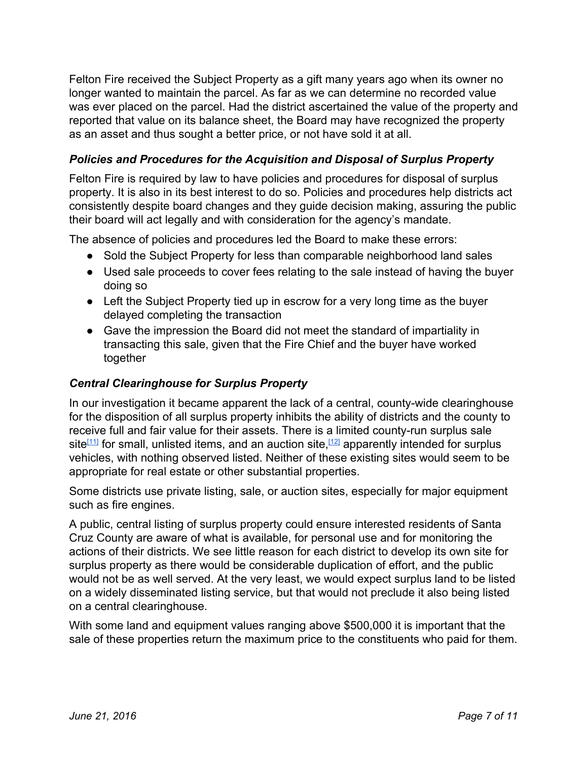Felton Fire received the Subject Property as a gift many years ago when its owner no longer wanted to maintain the parcel. As far as we can determine no recorded value was ever placed on the parcel. Had the district ascertained the value of the property and reported that value on its balance sheet, the Board may have recognized the property as an asset and thus sought a better price, or not have sold it at all.

#### *Policies and Procedures for the Acquisition and Disposal of Surplus Property*

Felton Fire is required by law to have policies and procedures for disposal of surplus property. It is also in its best interest to do so. Policies and procedures help districts act consistently despite board changes and they guide decision making, assuring the public their board will act legally and with consideration for the agency's mandate.

The absence of policies and procedures led the Board to make these errors:

- Sold the Subject Property for less than comparable neighborhood land sales
- Used sale proceeds to cover fees relating to the sale instead of having the buyer doing so
- Left the Subject Property tied up in escrow for a very long time as the buyer delayed completing the transaction
- Gave the impression the Board did not meet the standard of impartiality in transacting this sale, given that the Fire Chief and the buyer have worked together

#### *Central Clearinghouse for Surplus Property*

In our investigation it became apparent the lack of a central, county-wide clearinghouse for the disposition of all surplus property inhibits the ability of districts and the county to receive full and fair value for their assets. There is a limited county-run surplus sale site<sup>[\[11\]](http://www.co.santa-cruz.ca.us/Departments/GeneralServices/Purchasing/SurplusSaleAnnouncement.aspx)</sup> for small, unlisted items, and an auction site,<sup>[\[12\]](http://www.co.santa-cruz.ca.us/Departments/GeneralServices/Purchasing/FirstCapitolAuctionCountySurplusSales.aspx)</sup> apparently intended for surplus vehicles, with nothing observed listed. Neither of these existing sites would seem to be appropriate for real estate or other substantial properties.

Some districts use private listing, sale, or auction sites, especially for major equipment such as fire engines.

A public, central listing of surplus property could ensure interested residents of Santa Cruz County are aware of what is available, for personal use and for monitoring the actions of their districts. We see little reason for each district to develop its own site for surplus property as there would be considerable duplication of effort, and the public would not be as well served. At the very least, we would expect surplus land to be listed on a widely disseminated listing service, but that would not preclude it also being listed on a central clearinghouse.

With some land and equipment values ranging above \$500,000 it is important that the sale of these properties return the maximum price to the constituents who paid for them.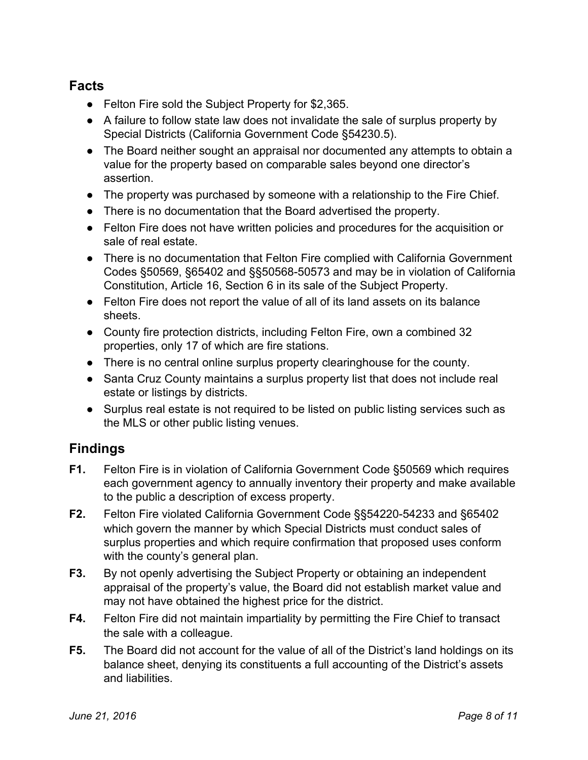# **Facts**

- Felton Fire sold the Subject Property for \$2,365.
- A failure to follow state law does not invalidate the sale of surplus property by Special Districts (California Government Code §54230.5).
- The Board neither sought an appraisal nor documented any attempts to obtain a value for the property based on comparable sales beyond one director's assertion.
- The property was purchased by someone with a relationship to the Fire Chief.
- There is no documentation that the Board advertised the property.
- Felton Fire does not have written policies and procedures for the acquisition or sale of real estate.
- There is no documentation that Felton Fire complied with California Government Codes §50569, §65402 and §§50568-50573 and may be in violation of California Constitution, Article 16, Section 6 in its sale of the Subject Property.
- Felton Fire does not report the value of all of its land assets on its balance sheets.
- County fire protection districts, including Felton Fire, own a combined 32 properties, only 17 of which are fire stations.
- There is no central online surplus property clearinghouse for the county.
- Santa Cruz County maintains a surplus property list that does not include real estate or listings by districts.
- Surplus real estate is not required to be listed on public listing services such as the MLS or other public listing venues.

# **Findings**

- **F1.** Felton Fire is in violation of California Government Code §50569 which requires each government agency to annually inventory their property and make available to the public a description of excess property.
- **F2.** Felton Fire violated California Government Code §§54220-54233 and §65402 which govern the manner by which Special Districts must conduct sales of surplus properties and which require confirmation that proposed uses conform with the county's general plan.
- **F3.** By not openly advertising the Subject Property or obtaining an independent appraisal of the property's value, the Board did not establish market value and may not have obtained the highest price for the district.
- **F4.** Felton Fire did not maintain impartiality by permitting the Fire Chief to transact the sale with a colleague.
- **F5.** The Board did not account for the value of all of the District's land holdings on its balance sheet, denying its constituents a full accounting of the District's assets and liabilities.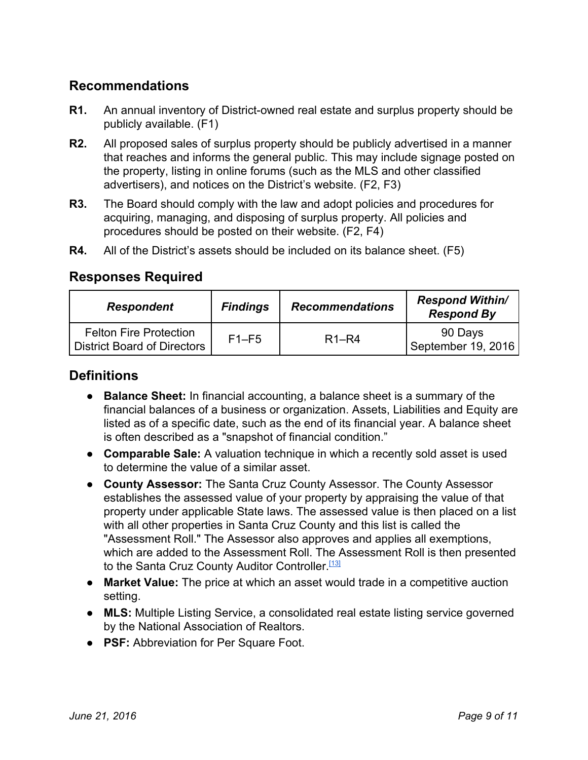# **Recommendations**

- **R1.** An annual inventory of District-owned real estate and surplus property should be publicly available. (F1)
- **R2.** All proposed sales of surplus property should be publicly advertised in a manner that reaches and informs the general public. This may include signage posted on the property, listing in online forums (such as the MLS and other classified advertisers), and notices on the District's website. (F2, F3)
- **R3.** The Board should comply with the law and adopt policies and procedures for acquiring, managing, and disposing of surplus property. All policies and procedures should be posted on their website. (F2, F4)
- **R4.** All of the District's assets should be included on its balance sheet. (F5)

# **Responses Required**

| <b>Respondent</b>                                                   | <b>Findings</b> | <b>Recommendations</b> | <b>Respond Within/</b><br><b>Respond By</b> |
|---------------------------------------------------------------------|-----------------|------------------------|---------------------------------------------|
| <b>Felton Fire Protection</b><br><b>District Board of Directors</b> | $F1-F5$         | $R1-R4$                | 90 Days<br>September 19, 2016               |

## **Definitions**

- **Balance Sheet:**I[n](https://en.wikipedia.org/wiki/Financial_accounting) financial accounting, a balance sheet is a summary of the financial balances of a business or organization. [A](https://en.wikipedia.org/wiki/Asset)ssets, Liabilities and [E](https://en.wikipedia.org/wiki/Ownership_equity)quity are listed as of a specific date, such as the end of its financial year. A balance sheet is often described as a "snapshot of financial condition."
- **Comparable Sale:**A valuation technique in which a recently sold asset is used to determine the value of a similar asset.
- **County Assessor:**The Santa Cruz County Assessor. The County Assessor establishes the assessed value of your property by appraising the value of that property under applicable State laws. The assessed value is then placed on a list with all other properties in Santa Cruz County and this list is called the "Assessment Roll." The Assessor also approves and applies all exemptions, which are added to the Assessment Roll. The Assessment Roll is then presented to the Santa Cruz County Auditor Controller.<sup>[\[13\]](http://www.co.santa-cruz.ca.us/Departments/AssessorsOffice/PrimaryFunctionsandResponsibilities.aspx)</sup>
- **Market Value:**The price at which an asset would trade in a competitive auction setting.
- **MLS:**Multiple Listing Service, a consolidated real estate listing service governed by the National Association of Realtors.
- **PSF:**Abbreviation for Per Square Foot.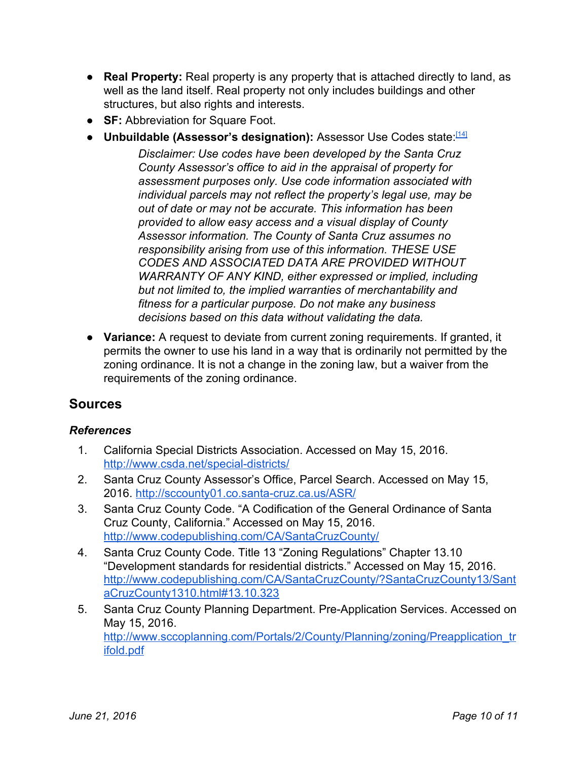- **Real Property:**Real property is any property that is attached directly to land, as well as the land itself. Real property not only includes buildings and other structures, but also rights and interests.
- **SF:** Abbreviation for Square Foot.
- <span id="page-9-0"></span>● **Unbuildable (Assessor's designation):**Assessor Use Codes state: [\[14\]](http://www.co.santa-cruz.ca.us/Departments/AssessorsOffice/AssessorUseCodesDisclaimer.aspx)

*Disclaimer: Use codes have been developed by the Santa Cruz County Assessor's office to aid in the appraisal of property for assessment purposes only. Use code information associated with individual parcels may not reflect the property's legal use, may be out of date or may not be accurate. This information has been provided to allow easy access and a visual display of County Assessor information. The County of Santa Cruz assumes no responsibility arising from use of this information. THESE USE CODES AND ASSOCIATED DATA ARE PROVIDED WITHOUT WARRANTY OF ANY KIND, either expressed or implied, including but not limited to, the implied warranties of merchantability and fitness for a particular purpose. Do not make any business decisions based on this data without validating the data.*

<span id="page-9-1"></span>**● Variance:** A request to deviate from current zoning requirements. If granted, it permits the owner to use his land in a way that is ordinarily not permitted by the zoning ordinance. It is not a change in the zoning law, but a waiver from the requirements of the zoning ordinance.

# **Sources**

#### *References*

- 1. California Special Districts Association. Accessed on May 15, 2016. http://www.csda.net/special-districts/
- 2. Santa Cruz County Assessor's Office, Parcel Search. Accessed on May 15, 2016. http://sccounty01.co.santa-cruz.ca.us/ASR/
- 3. Santa Cruz County Code. "A Codification of the General Ordinance of Santa Cruz County, California." Accessed on May 15, 2016. [http://www.codepublishing.com/CA/SantaCruzCounty/](http://www.codepublishing.com/CA/SantaCruzCounty/html/SantaCruzCounty13/SantaCruzCounty13.html)
- 4. Santa Cruz County Code. Title 13 "Zoning Regulations" Chapter 13.10 "Development standards for residential districts." Accessed on May 15, 2016. [http://www.codepublishing.com/CA/SantaCruzCounty/?SantaCruzCounty13/Sant](http://www.codepublishing.com/CA/SantaCruzCounty/?SantaCruzCounty13/SantaCruzCounty1310.html#13.10.323) [aCruzCounty1310.html#13.10.323](http://www.codepublishing.com/CA/SantaCruzCounty/?SantaCruzCounty13/SantaCruzCounty1310.html#13.10.323)
- 5. Santa Cruz County Planning Department. Pre-Application Services. Accessed on May 15, 2016. [http://www.sccoplanning.com/Portals/2/County/Planning/zoning/Preapplication\\_tr](http://www.sccoplanning.com/Portals/2/County/Planning/zoning/Preapplication_trifold.pdf) [ifold.pdf](http://www.sccoplanning.com/Portals/2/County/Planning/zoning/Preapplication_trifold.pdf)